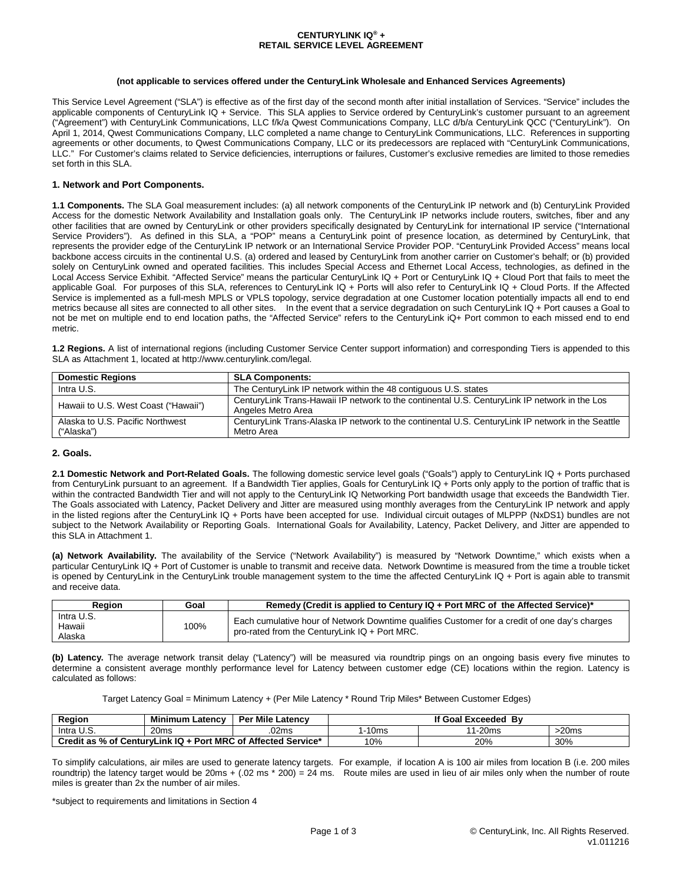### **CENTURYLINK IQ® + RETAIL SERVICE LEVEL AGREEMENT**

#### **(not applicable to services offered under the CenturyLink Wholesale and Enhanced Services Agreements)**

This Service Level Agreement ("SLA") is effective as of the first day of the second month after initial installation of Services. "Service" includes the applicable components of CenturyLink IQ + Service. This SLA applies to Service ordered by CenturyLink's customer pursuant to an agreement ("Agreement") with CenturyLink Communications, LLC f/k/a Qwest Communications Company, LLC d/b/a CenturyLink QCC ("CenturyLink"). On April 1, 2014, Qwest Communications Company, LLC completed a name change to CenturyLink Communications, LLC. References in supporting agreements or other documents, to Qwest Communications Company, LLC or its predecessors are replaced with "CenturyLink Communications, LLC." For Customer's claims related to Service deficiencies, interruptions or failures, Customer's exclusive remedies are limited to those remedies set forth in this SLA.

### **1. Network and Port Components.**

**1.1 Components.** The SLA Goal measurement includes: (a) all network components of the CenturyLink IP network and (b) CenturyLink Provided Access for the domestic Network Availability and Installation goals only. The CenturyLink IP networks include routers, switches, fiber and any other facilities that are owned by CenturyLink or other providers specifically designated by CenturyLink for international IP service ("International Service Providers"). As defined in this SLA, a "POP" means a CenturyLink point of presence location, as determined by CenturyLink, that represents the provider edge of the CenturyLink IP network or an International Service Provider POP. "CenturyLink Provided Access" means local backbone access circuits in the continental U.S. (a) ordered and leased by CenturyLink from another carrier on Customer's behalf; or (b) provided solely on CenturyLink owned and operated facilities. This includes Special Access and Ethernet Local Access, technologies, as defined in the Local Access Service Exhibit. "Affected Service" means the particular CenturyLink IQ + Port or CenturyLink IQ + Cloud Port that fails to meet the applicable Goal. For purposes of this SLA, references to CenturyLink IQ + Ports will also refer to CenturyLink IQ + Cloud Ports. If the Affected Service is implemented as a full-mesh MPLS or VPLS topology, service degradation at one Customer location potentially impacts all end to end metrics because all sites are connected to all other sites. In the event that a service degradation on such CenturyLink IQ + Port causes a Goal to not be met on multiple end to end location paths, the "Affected Service" refers to the CenturyLink iQ+ Port common to each missed end to end metric.

**1.2 Regions.** A list of international regions (including Customer Service Center support information) and corresponding Tiers is appended to this SLA as Attachment 1, located at http://www.centurylink.com/legal.

| <b>Domestic Regions</b>                        | <b>SLA Components:</b>                                                                                                |
|------------------------------------------------|-----------------------------------------------------------------------------------------------------------------------|
| Intra U.S.                                     | The Century Link IP network within the 48 contiguous U.S. states                                                      |
| Hawaii to U.S. West Coast ("Hawaii")           | Century Link Trans-Hawaii IP network to the continental U.S. Century Link IP network in the Los<br>Angeles Metro Area |
| Alaska to U.S. Pacific Northwest<br>("Alaska") | CenturyLink Trans-Alaska IP network to the continental U.S. CenturyLink IP network in the Seattle<br>Metro Area       |

## **2. Goals.**

**2.1 Domestic Network and Port-Related Goals.** The following domestic service level goals ("Goals") apply to CenturyLink IQ + Ports purchased from CenturyLink pursuant to an agreement. If a Bandwidth Tier applies, Goals for CenturyLink IQ + Ports only apply to the portion of traffic that is within the contracted Bandwidth Tier and will not apply to the CenturyLink IQ Networking Port bandwidth usage that exceeds the Bandwidth Tier. The Goals associated with Latency, Packet Delivery and Jitter are measured using monthly averages from the CenturyLink IP network and apply in the listed regions after the CenturyLink IQ + Ports have been accepted for use. Individual circuit outages of MLPPP (NxDS1) bundles are not subject to the Network Availability or Reporting Goals. International Goals for Availability, Latency, Packet Delivery, and Jitter are appended to this SLA in Attachment 1.

**(a) Network Availability.** The availability of the Service ("Network Availability") is measured by "Network Downtime," which exists when a particular CenturyLink IQ + Port of Customer is unable to transmit and receive data. Network Downtime is measured from the time a trouble ticket is opened by CenturyLink in the CenturyLink trouble management system to the time the affected CenturyLink IQ + Port is again able to transmit and receive data.

| Reaion                         | Goal | Remedy (Credit is applied to Century $IQ + Port MRC$ of the Affected Service)*                                                                    |  |  |
|--------------------------------|------|---------------------------------------------------------------------------------------------------------------------------------------------------|--|--|
| Intra U.S.<br>Hawaii<br>Alaska | 100% | Each cumulative hour of Network Downtime qualifies Customer for a credit of one day's charges<br>pro-rated from the CenturyLink $IQ + Port MRC$ . |  |  |

**(b) Latency.** The average network transit delay ("Latency") will be measured via roundtrip pings on an ongoing basis every five minutes to determine a consistent average monthly performance level for Latency between customer edge (CE) locations within the region. Latency is calculated as follows:

Target Latency Goal = Minimum Latency + (Per Mile Latency \* Round Trip Miles\* Between Customer Edges)

| Region                                                        | Minimum<br>∟atencv | <b>Per Mile Latency</b> | If Goal Exceeded By |          |      |
|---------------------------------------------------------------|--------------------|-------------------------|---------------------|----------|------|
| Intra<br>.c.v                                                 | 20 <sub>ms</sub>   | .02ms                   | 1-10ms              | $1-20ms$ | 20ms |
| Credit as % of CenturyLink IQ + Port MRC of Affected Service* |                    |                         | 10%                 | 20%      | 30%  |

To simplify calculations, air miles are used to generate latency targets. For example, if location A is 100 air miles from location B (i.e. 200 miles roundtrip) the latency target would be 20ms + (.02 ms \* 200) = 24 ms. Route miles are used in lieu of air miles only when the number of route miles is greater than 2x the number of air miles.

\*subject to requirements and limitations in Section 4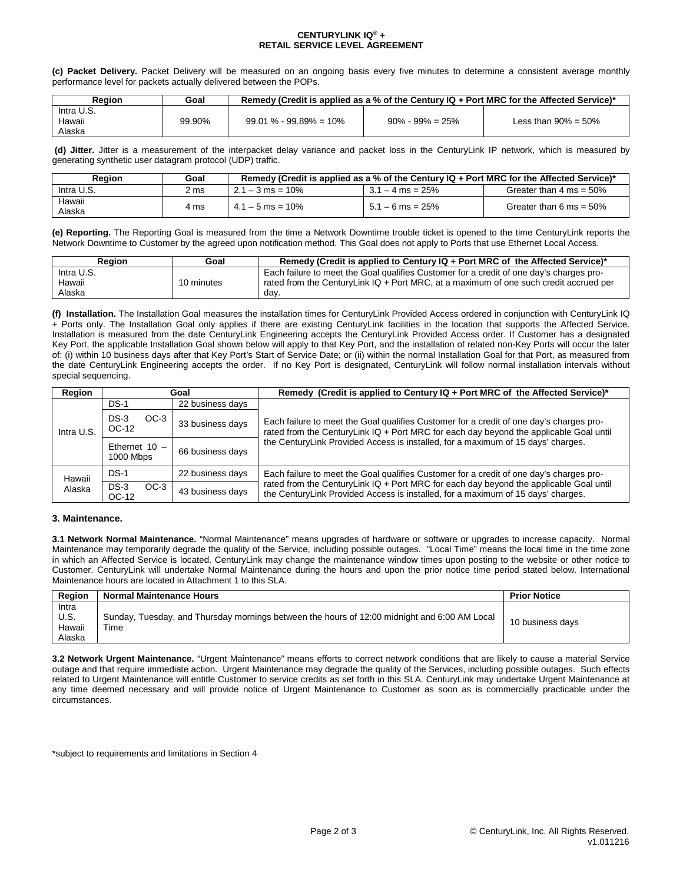### **CENTURYLINK IQ® + RETAIL SERVICE LEVEL AGREEMENT**

**(c) Packet Delivery.** Packet Delivery will be measured on an ongoing basis every five minutes to determine a consistent average monthly performance level for packets actually delivered between the POPs.

| Reaion     | Goal   | Remedy (Credit is applied as a % of the Century $IQ + Port MRC$ for the Affected Service)* |                      |                         |  |
|------------|--------|--------------------------------------------------------------------------------------------|----------------------|-------------------------|--|
| Intra U.S. |        |                                                                                            |                      |                         |  |
| Hawaii     | 99.90% | $99.01\% - 99.89\% = 10\%$                                                                 | $90\% - 99\% = 25\%$ | Less than $90\% = 50\%$ |  |
| Alaska     |        |                                                                                            |                      |                         |  |

**(d) Jitter.** Jitter is a measurement of the interpacket delay variance and packet loss in the CenturyLink IP network, which is measured by generating synthetic user datagram protocol (UDP) traffic.

| Reaion           | Goal | Remedy (Credit is applied as a % of the Century $IQ + Port MRC$ for the Affected Service)* |                    |                                    |  |
|------------------|------|--------------------------------------------------------------------------------------------|--------------------|------------------------------------|--|
| Intra U.S.       | 2 ms | $2.1 - 3$ ms = 10%                                                                         | $3.1 - 4$ ms = 25% | Greater than $4 \text{ ms} = 50\%$ |  |
| Hawaii<br>Alaska | 4 ms | $4.1 - 5$ ms = 10%                                                                         | $5.1 - 6$ ms = 25% | Greater than 6 ms = $50\%$         |  |

**(e) Reporting.** The Reporting Goal is measured from the time a Network Downtime trouble ticket is opened to the time CenturyLink reports the Network Downtime to Customer by the agreed upon notification method. This Goal does not apply to Ports that use Ethernet Local Access.

| Region     | Goal       | Remedy (Credit is applied to Century $IQ + Port MRC$ of the Affected Service)*            |
|------------|------------|-------------------------------------------------------------------------------------------|
| Intra U.S. |            | Each failure to meet the Goal qualifies Customer for a credit of one day's charges pro-   |
| Hawaii     | 10 minutes | rated from the Century Link $IQ + Port MRC$ , at a maximum of one such credit accrued per |
| Alaska     |            | day                                                                                       |

**(f) Installation.** The Installation Goal measures the installation times for CenturyLink Provided Access ordered in conjunction with CenturyLink IQ + Ports only. The Installation Goal only applies if there are existing CenturyLink facilities in the location that supports the Affected Service. Installation is measured from the date CenturyLink Engineering accepts the CenturyLink Provided Access order. If Customer has a designated Key Port, the applicable Installation Goal shown below will apply to that Key Port, and the installation of related non-Key Ports will occur the later of: (i) within 10 business days after that Key Port's Start of Service Date; or (ii) within the normal Installation Goal for that Port, as measured from the date CenturyLink Engineering accepts the order. If no Key Port is designated, CenturyLink will follow normal installation intervals without special sequencing.

| Region     | Goal                         |                  | Remedy (Credit is applied to Century IQ + Port MRC of the Affected Service)*                                                                                                      |
|------------|------------------------------|------------------|-----------------------------------------------------------------------------------------------------------------------------------------------------------------------------------|
|            | $DS-1$                       | 22 business days |                                                                                                                                                                                   |
| Intra U.S. | $DS-3$<br>$OC-3$<br>OC-12    | 33 business days | Each failure to meet the Goal qualifies Customer for a credit of one day's charges pro-<br>rated from the CenturyLink IQ + Port MRC for each day beyond the applicable Goal until |
|            | Ethernet $10 -$<br>1000 Mbps | 66 business days | the Century Link Provided Access is installed, for a maximum of 15 days' charges.                                                                                                 |
| Hawaii     | <b>DS-1</b>                  | 22 business days | Each failure to meet the Goal qualifies Customer for a credit of one day's charges pro-                                                                                           |
| Alaska     | $DS-3$<br>$OC-3$<br>OC-12    | 43 business days | rated from the CenturyLink IQ + Port MRC for each day beyond the applicable Goal until<br>the CenturyLink Provided Access is installed, for a maximum of 15 days' charges.        |

# **3. Maintenance.**

**3.1 Network Normal Maintenance.** "Normal Maintenance" means upgrades of hardware or software or upgrades to increase capacity. Normal Maintenance may temporarily degrade the quality of the Service, including possible outages. "Local Time" means the local time in the time zone in which an Affected Service is located. CenturyLink may change the maintenance window times upon posting to the website or other notice to Customer. CenturyLink will undertake Normal Maintenance during the hours and upon the prior notice time period stated below. International Maintenance hours are located in Attachment 1 to this SLA.

| Region | <b>Normal Maintenance Hours</b>                                                              | <b>Prior Notice</b> |
|--------|----------------------------------------------------------------------------------------------|---------------------|
| Intra  |                                                                                              |                     |
| U.S.   | Sunday, Tuesday, and Thursday mornings between the hours of 12:00 midnight and 6:00 AM Local | 10 business days    |
| Hawaii | Time                                                                                         |                     |
| Alaska |                                                                                              |                     |

**3.2 Network Urgent Maintenance.** "Urgent Maintenance" means efforts to correct network conditions that are likely to cause a material Service outage and that require immediate action. Urgent Maintenance may degrade the quality of the Services, including possible outages. Such effects related to Urgent Maintenance will entitle Customer to service credits as set forth in this SLA. CenturyLink may undertake Urgent Maintenance at any time deemed necessary and will provide notice of Urgent Maintenance to Customer as soon as is commercially practicable under the circumstances.

\*subject to requirements and limitations in Section 4